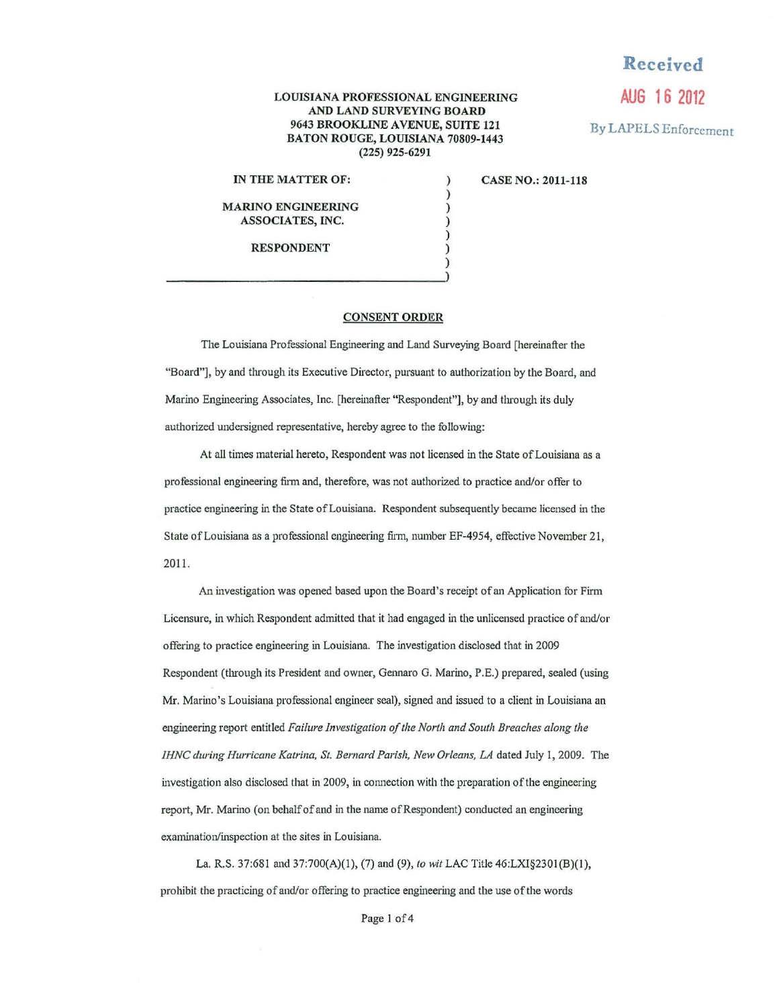## LOUISIANA PROFESSIONAL ENGINEERING AND LAND SURVEYING BOARD 9643 BROOKLINE A VENUE, SUITE 121 BATON ROUGE, LOUISIANA 70809-1443 (225) 925-6291

) ) ) ) ) ) )

## IN THE MATTER OF:

CASE NO.: 2011-118

**Received** 

**AUG 16 2012** 

By LAPELS Enforcement

MARINO ENGINEERING ASSOCIATES, INC.

RESPONDENT

## CONSENT ORDER

The Louisiana Professional Engineering and Land Surveying Board (hereinafter the "Board"], by and through its Executive Director, pursuant to authorization by the Board, and Marino Engineering Associates, Inc. [hereinafter "Respondent"], by and through its duly authorized undersigned representative, hereby agree to the following:

At all times material hereto, Respondent was not licensed in the State of Louisiana as a professional engineering firm and, therefore, was not authorized to practice and/or offer to practice engineering in the State of Louisiana. Respondent subsequently became licensed in the State of Louisiana as a professional engineering firm, number EF-4954, effective November 21, 2011.

An investigation was opened based upon the Board's receipt of an Application for Firm Licensure, in which Respondent admitted that it had engaged in the unlicensed practice of and/or offering to practice engineering in Louisiana. The investigation disclosed that in 2009 Respondent (through its President and owner, Gennaro G. Marino, P.E.) prepared, sealed (using Mr. Marino's Louisiana professional engineer seal), signed and issued to a client in Louisiana an engineering report entitled *Failure Investigation of the North and South Breaches along the IHNC during Hurricane Katrina, St. Bernard Parish, New Orleans, LA* dated July I, 2009. The investigation also disclosed that in 2009, in connection with the preparation of the engineering report, Mr. Marino (on behalf of and in the name of Respondent) conducted an engineering examination/inspection at the sites in Louisiana.

La. R.S. 37:681 and 37:700(A)(l), (7) and (9), *to wit* LAC Title 46:LXI§2301 (B)(I), prohibit the practicing of and/or offering to practice engineering and the use of the words

Page 1 of 4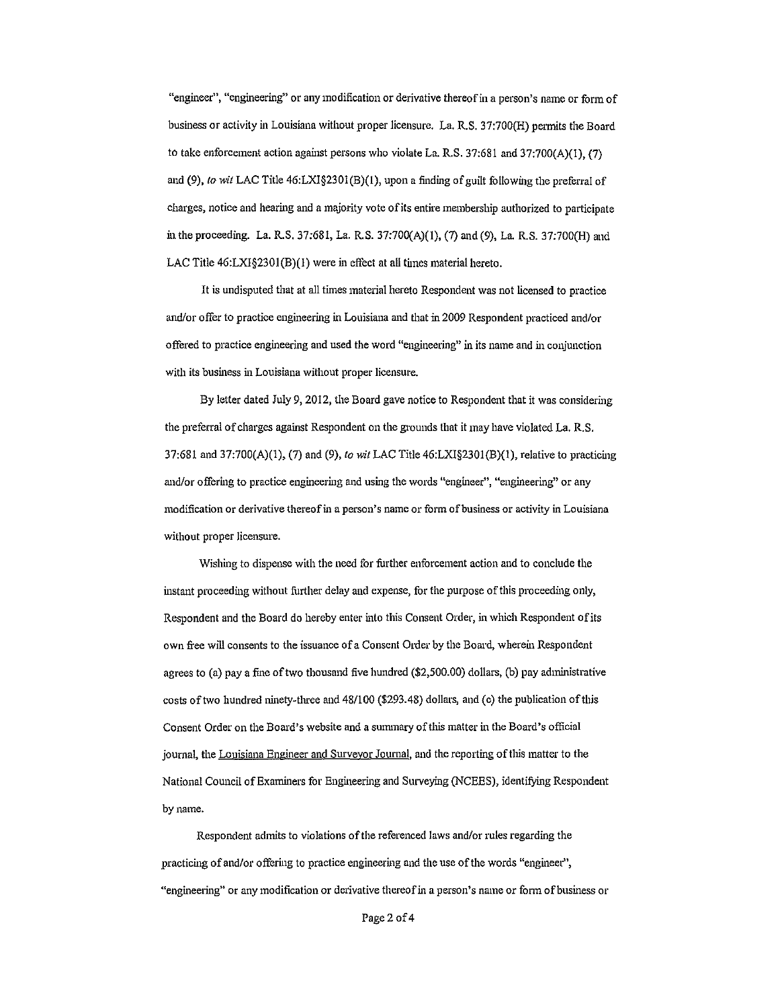"engineer", "engineering" or any modification or derivative thereof in a person's name or form of business or activity in Louisiana without proper licensure. La. R.S. 37:700(H) permits the Board to take enforcement action against persons who violate La. R.S. 37:681 and 37:700(A)(l), (7) and (9), *to wit* LAC Title 46:LXI§2301(B)(1), upon a finding of guilt following the preferral of charges, notice and hearing and a majority vote of its entire membership authorized to participate in the proceeding. La. R.S. 37:681, La. R.S. 37:700(A)(l), (7) and (9), La R.S. 37:700(H) and LAC Title  $46: LXI\$  $3201(B)(1)$  were in effect at all times material hereto.

It is undisputed that at all times material hereto Respondent was not licensed to practice and/or offer to practice engineering in Louisiana and that in 2009 Respondent practiced and/or offered to practice engineering and used the word "engineering" in its name and in conjunction with its business in Louisiana without proper licensure.

By letter dated July 9, 2012, the Board gave notice to Respondent that it was considering the preferral of charges against Respondent on the grounds that it may have violated La. R.S. 37:681 and 37:700(A)(l), (7) and (9), *to wit* LAC Title 46:LX1§2301(B)(l), relative to practicing and/or offering to practice engineering and using the words "engineer", "engineering" or any modification or derivative thereofin a person's name or form of business or activity in Louisiana without proper licensure.

Wishing to dispense with the need for further enforcement action and to conclude the instant proceeding without further delay and expense, for the purpose of this proceeding only, Respondent and the Board do hereby enter into this Consent Order, in which Respondent of its own free will consents to the issuance of a Consent Order by the Board, wherein Respondent agrees to (a) pay a fine of two thousand five hundred (\$2,500.00) dollars, (b) pay administrative costs of two hundred ninety-three and 48/100 (\$293.48) dollars, and (c) the publication ofthis Consent Order on the Board's website and a summary of this matter in the Board's official journal, the Louisiana Engineer and Surveyor Journal, and the reporting of this matter to the National Council of Examiners for Engineering and Surveying (NCEES), identifying Respondent by name.

Respondent admits to violations of the referenced Jaws and/or rules regarding the practicing of and/or offering to practice engineering and the use of the words "engineer", "engineering" or any modification or derivative thereof in a person's name or form of business or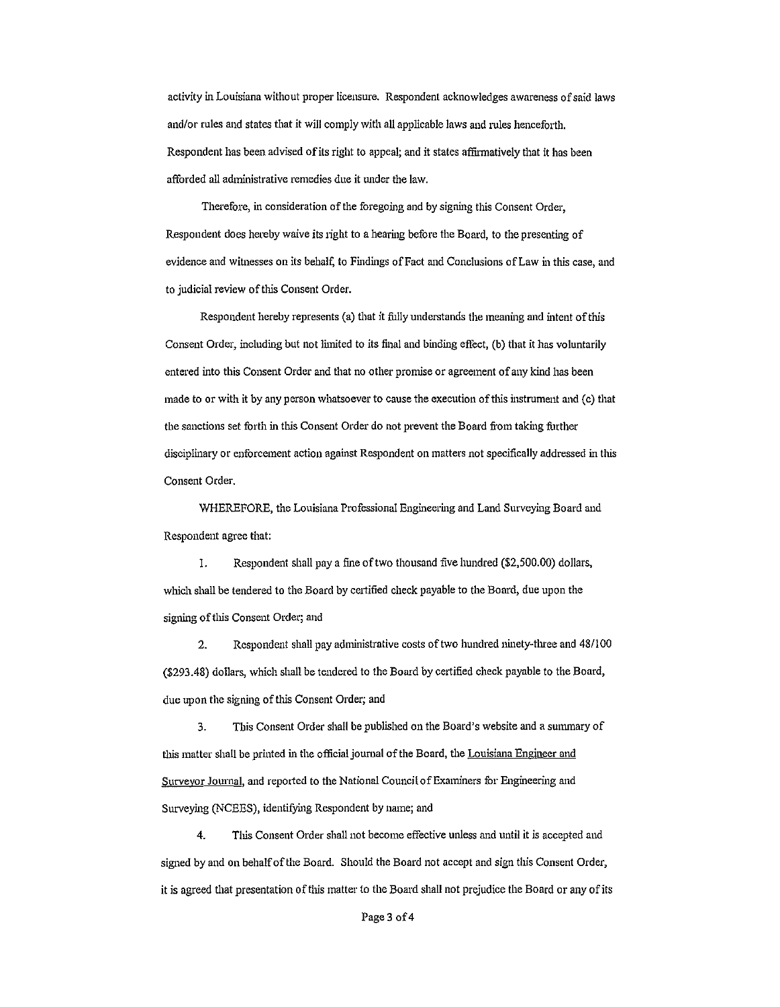activity in Louisiana without proper licensure. Respondent acknowledges awareness of said laws and/or rules and states that it will comply with all applicable laws and rules henceforth. Respondent has been advised of its right to appeal; and it states affirmatively that it has been afforded all administrative remedies due it under the law.

Therefore, in consideration of the foregoing and by signing this Consent Order, Respondent does hereby waive its right to a hearing before the Board, to the presenting of evidence and witnesses on its behalf, to Findings of Fact and Conclusions of Law in this case, and to judicial review of this Consent Order.

Respondent hereby represents (a) that it fully understands the meaning and intent of this Consent Order, including but not limited to its final and binding effect, (b) that it has voluntarily entered into this Consent Order and that no other promise or agreement of any kind has been made to or with it by any person whatsoever to cause the execution of this instrument and (c) that the sanctions set forth in this Consent Order do not prevent the Board from taking further disciplinary or enforcement action against Respondent on matters not specifica11y addressed in this Consent Order.

WHEREFORE, the Louisiana Professional Engineering and Land Surveying Board and Respondent agree that:

I. Respondent shall pay a fine of two thousand five hundred (\$2,500.00) dollars, which shall be tendered to the Board by certified check payable to the Board, due upon the signing of this Consent Order; and

2. Respondent shall pay administrative costs of two hundred ninety-three and 48/100 (\$293.48) dollars, which shall be tendered to the Board by certified check payable to the Board, due upon the signing of this Consent Order; and

3. This Consent Order shall be published on the Board's website and a sununary of this matter shall be printed in the official journal of the Board, the Louisiana Engineer and Surveyor Journal, and reported to the National Council of Examiners for Engineering and Surveying (NCEES), identifying Respondent by name; and

4. Tills Consent Order shall not become effective unless and until it is accepted and signed by and on behalf of the Board. Should the Board not accept and sign this Consent Order, it is agreed that presentation of this matter to the Board shall not prejudice the Board or any of its